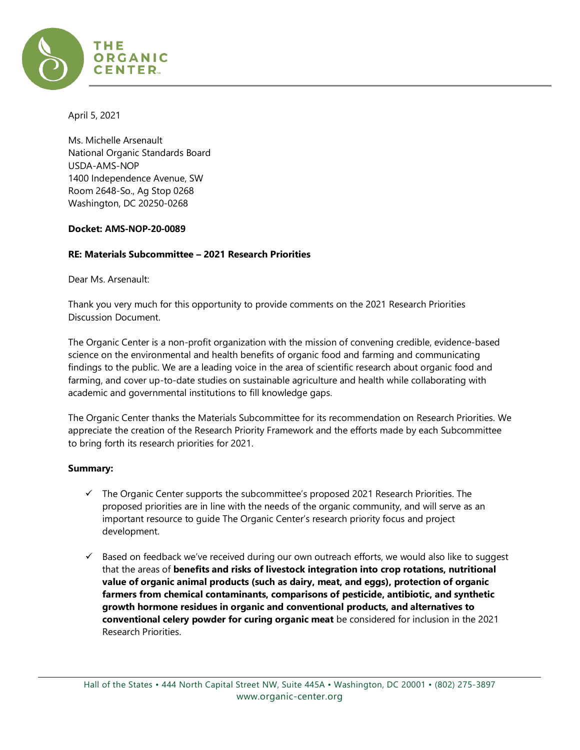

April 5, 2021

Ms. Michelle Arsenault National Organic Standards Board USDA-AMS-NOP 1400 Independence Avenue, SW Room 2648-So., Ag Stop 0268 Washington, DC 20250-0268

#### **Docket: AMS-NOP-20-0089**

## **RE: Materials Subcommittee – 2021 Research Priorities**

Dear Ms. Arsenault:

Thank you very much for this opportunity to provide comments on the 2021 Research Priorities Discussion Document.

The Organic Center is a non-profit organization with the mission of convening credible, evidence-based science on the environmental and health benefits of organic food and farming and communicating findings to the public. We are a leading voice in the area of scientific research about organic food and farming, and cover up-to-date studies on sustainable agriculture and health while collaborating with academic and governmental institutions to fill knowledge gaps.

The Organic Center thanks the Materials Subcommittee for its recommendation on Research Priorities. We appreciate the creation of the Research Priority Framework and the efforts made by each Subcommittee to bring forth its research priorities for 2021.

#### **Summary:**

- $\checkmark$  The Organic Center supports the subcommittee's proposed 2021 Research Priorities. The proposed priorities are in line with the needs of the organic community, and will serve as an important resource to guide The Organic Center's research priority focus and project development.
- $\checkmark$  Based on feedback we've received during our own outreach efforts, we would also like to suggest that the areas of **benefits and risks of livestock integration into crop rotations, nutritional value of organic animal products (such as dairy, meat, and eggs), protection of organic farmers from chemical contaminants, comparisons of pesticide, antibiotic, and synthetic growth hormone residues in organic and conventional products, and alternatives to conventional celery powder for curing organic meat** be considered for inclusion in the 2021 Research Priorities.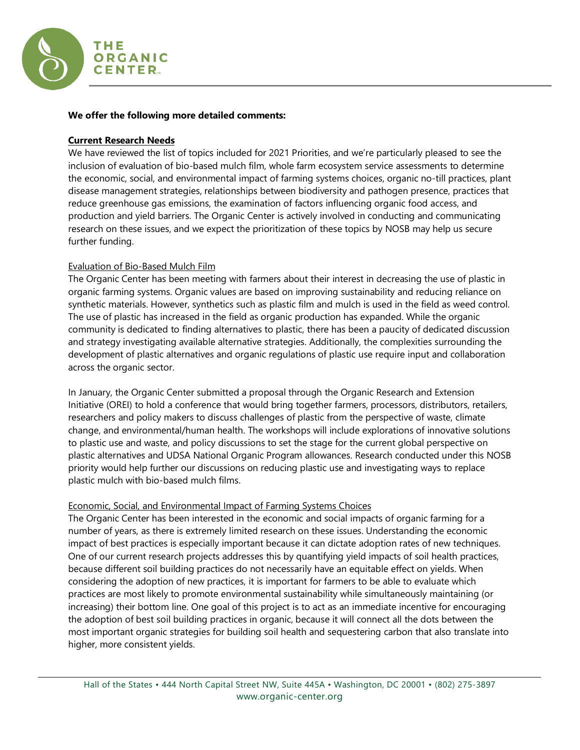

#### **We offer the following more detailed comments:**

#### **Current Research Needs**

We have reviewed the list of topics included for 2021 Priorities, and we're particularly pleased to see the inclusion of evaluation of bio-based mulch film, whole farm ecosystem service assessments to determine the economic, social, and environmental impact of farming systems choices, organic no-till practices, plant disease management strategies, relationships between biodiversity and pathogen presence, practices that reduce greenhouse gas emissions, the examination of factors influencing organic food access, and production and yield barriers. The Organic Center is actively involved in conducting and communicating research on these issues, and we expect the prioritization of these topics by NOSB may help us secure further funding.

## Evaluation of Bio-Based Mulch Film

The Organic Center has been meeting with farmers about their interest in decreasing the use of plastic in organic farming systems. Organic values are based on improving sustainability and reducing reliance on synthetic materials. However, synthetics such as plastic film and mulch is used in the field as weed control. The use of plastic has increased in the field as organic production has expanded. While the organic community is dedicated to finding alternatives to plastic, there has been a paucity of dedicated discussion and strategy investigating available alternative strategies. Additionally, the complexities surrounding the development of plastic alternatives and organic regulations of plastic use require input and collaboration across the organic sector.

In January, the Organic Center submitted a proposal through the Organic Research and Extension Initiative (OREI) to hold a conference that would bring together farmers, processors, distributors, retailers, researchers and policy makers to discuss challenges of plastic from the perspective of waste, climate change, and environmental/human health. The workshops will include explorations of innovative solutions to plastic use and waste, and policy discussions to set the stage for the current global perspective on plastic alternatives and UDSA National Organic Program allowances. Research conducted under this NOSB priority would help further our discussions on reducing plastic use and investigating ways to replace plastic mulch with bio-based mulch films.

#### Economic, Social, and Environmental Impact of Farming Systems Choices

The Organic Center has been interested in the economic and social impacts of organic farming for a number of years, as there is extremely limited research on these issues. Understanding the economic impact of best practices is especially important because it can dictate adoption rates of new techniques. One of our current research projects addresses this by quantifying yield impacts of soil health practices, because different soil building practices do not necessarily have an equitable effect on yields. When considering the adoption of new practices, it is important for farmers to be able to evaluate which practices are most likely to promote environmental sustainability while simultaneously maintaining (or increasing) their bottom line. One goal of this project is to act as an immediate incentive for encouraging the adoption of best soil building practices in organic, because it will connect all the dots between the most important organic strategies for building soil health and sequestering carbon that also translate into higher, more consistent yields.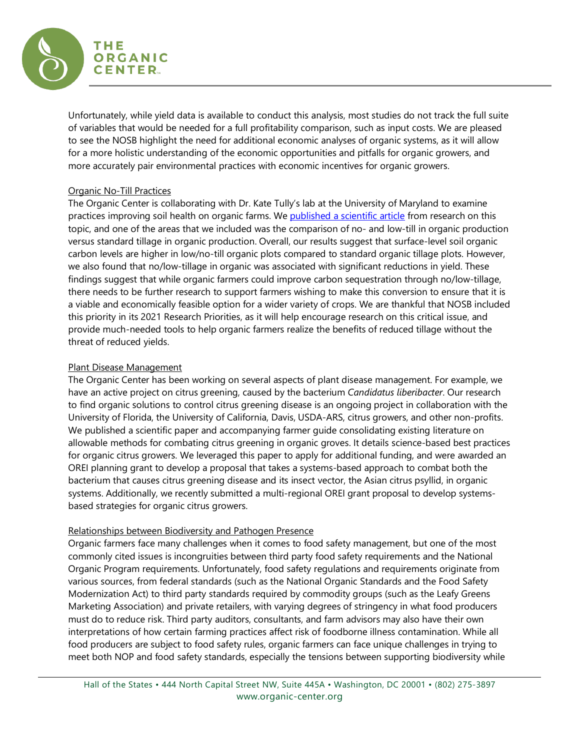

Unfortunately, while yield data is available to conduct this analysis, most studies do not track the full suite of variables that would be needed for a full profitability comparison, such as input costs. We are pleased to see the NOSB highlight the need for additional economic analyses of organic systems, as it will allow for a more holistic understanding of the economic opportunities and pitfalls for organic growers, and more accurately pair environmental practices with economic incentives for organic growers.

## Organic No-Till Practices

The Organic Center is collaborating with Dr. Kate Tully's lab at the University of Maryland to examine practices improving soil health on organic farms. We [published a scientific article](https://link.springer.com/article/10.1007/s13165-019-00275-1) from research on this topic, and one of the areas that we included was the comparison of no- and low-till in organic production versus standard tillage in organic production. Overall, our results suggest that surface-level soil organic carbon levels are higher in low/no-till organic plots compared to standard organic tillage plots. However, we also found that no/low-tillage in organic was associated with significant reductions in yield. These findings suggest that while organic farmers could improve carbon sequestration through no/low-tillage, there needs to be further research to support farmers wishing to make this conversion to ensure that it is a viable and economically feasible option for a wider variety of crops. We are thankful that NOSB included this priority in its 2021 Research Priorities, as it will help encourage research on this critical issue, and provide much-needed tools to help organic farmers realize the benefits of reduced tillage without the threat of reduced yields.

## Plant Disease Management

The Organic Center has been working on several aspects of plant disease management. For example, we have an active project on citrus greening, caused by the bacterium *Candidatus liberibacter*. Our research to find organic solutions to control citrus greening disease is an ongoing project in collaboration with the University of Florida, the University of California, Davis, USDA-ARS, citrus growers, and other non-profits. We published a scientific paper and accompanying farmer guide consolidating existing literature on allowable methods for combating citrus greening in organic groves. It details science-based best practices for organic citrus growers. We leveraged this paper to apply for additional funding, and were awarded an OREI planning grant to develop a proposal that takes a systems-based approach to combat both the bacterium that causes citrus greening disease and its insect vector, the Asian citrus psyllid, in organic systems. Additionally, we recently submitted a multi-regional OREI grant proposal to develop systemsbased strategies for organic citrus growers.

#### Relationships between Biodiversity and Pathogen Presence

Organic farmers face many challenges when it comes to food safety management, but one of the most commonly cited issues is incongruities between third party food safety requirements and the National Organic Program requirements. Unfortunately, food safety regulations and requirements originate from various sources, from federal standards (such as the National Organic Standards and the Food Safety Modernization Act) to third party standards required by commodity groups (such as the Leafy Greens Marketing Association) and private retailers, with varying degrees of stringency in what food producers must do to reduce risk. Third party auditors, consultants, and farm advisors may also have their own interpretations of how certain farming practices affect risk of foodborne illness contamination. While all food producers are subject to food safety rules, organic farmers can face unique challenges in trying to meet both NOP and food safety standards, especially the tensions between supporting biodiversity while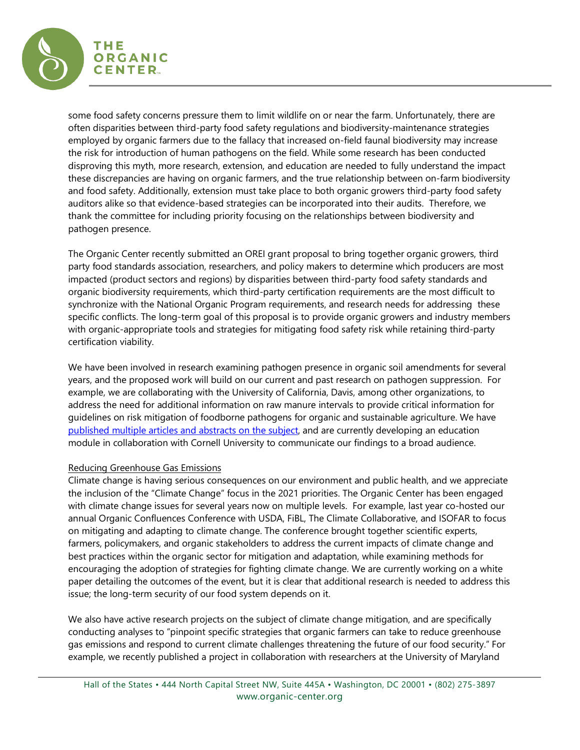

some food safety concerns pressure them to limit wildlife on or near the farm. Unfortunately, there are often disparities between third-party food safety regulations and biodiversity-maintenance strategies employed by organic farmers due to the fallacy that increased on-field faunal biodiversity may increase the risk for introduction of human pathogens on the field. While some research has been conducted disproving this myth, more research, extension, and education are needed to fully understand the impact these discrepancies are having on organic farmers, and the true relationship between on-farm biodiversity and food safety. Additionally, extension must take place to both organic growers third-party food safety auditors alike so that evidence-based strategies can be incorporated into their audits. Therefore, we thank the committee for including priority focusing on the relationships between biodiversity and pathogen presence.

The Organic Center recently submitted an OREI grant proposal to bring together organic growers, third party food standards association, researchers, and policy makers to determine which producers are most impacted (product sectors and regions) by disparities between third-party food safety standards and organic biodiversity requirements, which third-party certification requirements are the most difficult to synchronize with the National Organic Program requirements, and research needs for addressing these specific conflicts. The long-term goal of this proposal is to provide organic growers and industry members with organic-appropriate tools and strategies for mitigating food safety risk while retaining third-party certification viability.

We have been involved in research examining pathogen presence in organic soil amendments for several years, and the proposed work will build on our current and past research on pathogen suppression. For example, we are collaborating with the University of California, Davis, among other organizations, to address the need for additional information on raw manure intervals to provide critical information for guidelines on risk mitigation of foodborne pathogens for organic and sustainable agriculture. We have [published multiple articles and abstracts on the subject,](https://www.organic-center.org/multi-regional-risk-analysis-of-farm-manure-use-balancing-soil-health-and-food-safety-for-organic-fresh-produce-production-3/) and are currently developing an education module in collaboration with Cornell University to communicate our findings to a broad audience.

#### Reducing Greenhouse Gas Emissions

Climate change is having serious consequences on our environment and public health, and we appreciate the inclusion of the "Climate Change" focus in the 2021 priorities. The Organic Center has been engaged with climate change issues for several years now on multiple levels. For example, last year co-hosted our annual Organic Confluences Conference with USDA, FiBL, The Climate Collaborative, and ISOFAR to focus on mitigating and adapting to climate change. The conference brought together scientific experts, farmers, policymakers, and organic stakeholders to address the current impacts of climate change and best practices within the organic sector for mitigation and adaptation, while examining methods for encouraging the adoption of strategies for fighting climate change. We are currently working on a white paper detailing the outcomes of the event, but it is clear that additional research is needed to address this issue; the long-term security of our food system depends on it.

We also have active research projects on the subject of climate change mitigation, and are specifically conducting analyses to "pinpoint specific strategies that organic farmers can take to reduce greenhouse gas emissions and respond to current climate challenges threatening the future of our food security." For example, we recently published a project in collaboration with researchers at the University of Maryland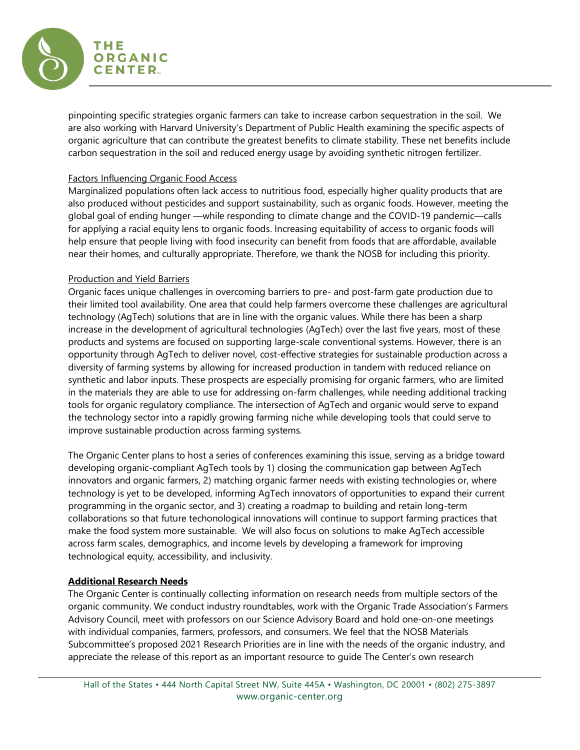

pinpointing specific strategies organic farmers can take to increase carbon sequestration in the soil. We are also working with Harvard University's Department of Public Health examining the specific aspects of organic agriculture that can contribute the greatest benefits to climate stability. These net benefits include carbon sequestration in the soil and reduced energy usage by avoiding synthetic nitrogen fertilizer.

## Factors Influencing Organic Food Access

Marginalized populations often lack access to nutritious food, especially higher quality products that are also produced without pesticides and support sustainability, such as organic foods. However, meeting the global goal of ending hunger —while responding to climate change and the COVID-19 pandemic—calls for applying a racial equity lens to organic foods. Increasing equitability of access to organic foods will help ensure that people living with food insecurity can benefit from foods that are affordable, available near their homes, and culturally appropriate. Therefore, we thank the NOSB for including this priority.

# Production and Yield Barriers

Organic faces unique challenges in overcoming barriers to pre- and post-farm gate production due to their limited tool availability. One area that could help farmers overcome these challenges are agricultural technology (AgTech) solutions that are in line with the organic values. While there has been a sharp increase in the development of agricultural technologies (AgTech) over the last five years, most of these products and systems are focused on supporting large-scale conventional systems. However, there is an opportunity through AgTech to deliver novel, cost-effective strategies for sustainable production across a diversity of farming systems by allowing for increased production in tandem with reduced reliance on synthetic and labor inputs. These prospects are especially promising for organic farmers, who are limited in the materials they are able to use for addressing on-farm challenges, while needing additional tracking tools for organic regulatory compliance. The intersection of AgTech and organic would serve to expand the technology sector into a rapidly growing farming niche while developing tools that could serve to improve sustainable production across farming systems.

The Organic Center plans to host a series of conferences examining this issue, serving as a bridge toward developing organic-compliant AgTech tools by 1) closing the communication gap between AgTech innovators and organic farmers, 2) matching organic farmer needs with existing technologies or, where technology is yet to be developed, informing AgTech innovators of opportunities to expand their current programming in the organic sector, and 3) creating a roadmap to building and retain long-term collaborations so that future techonological innovations will continue to support farming practices that make the food system more sustainable. We will also focus on solutions to make AgTech accessible across farm scales, demographics, and income levels by developing a framework for improving technological equity, accessibility, and inclusivity.

# **Additional Research Needs**

The Organic Center is continually collecting information on research needs from multiple sectors of the organic community. We conduct industry roundtables, work with the Organic Trade Association's Farmers Advisory Council, meet with professors on our Science Advisory Board and hold one-on-one meetings with individual companies, farmers, professors, and consumers. We feel that the NOSB Materials Subcommittee's proposed 2021 Research Priorities are in line with the needs of the organic industry, and appreciate the release of this report as an important resource to guide The Center's own research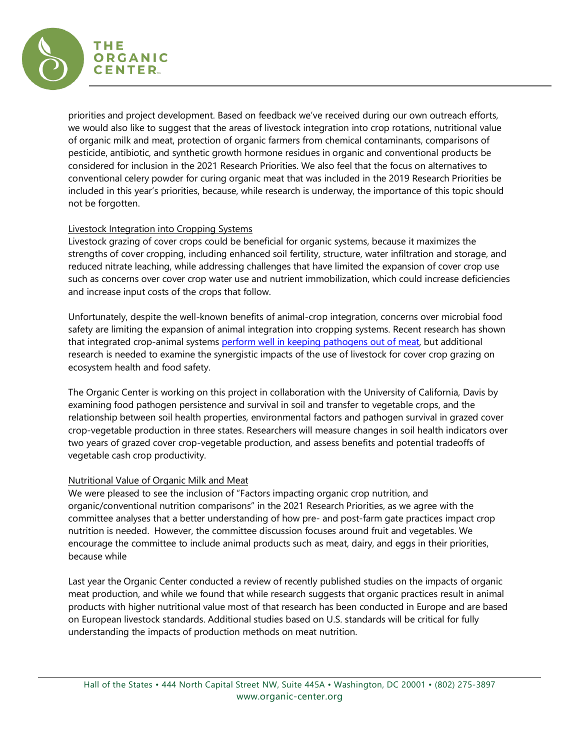

priorities and project development. Based on feedback we've received during our own outreach efforts, we would also like to suggest that the areas of livestock integration into crop rotations, nutritional value of organic milk and meat, protection of organic farmers from chemical contaminants, comparisons of pesticide, antibiotic, and synthetic growth hormone residues in organic and conventional products be considered for inclusion in the 2021 Research Priorities. We also feel that the focus on alternatives to conventional celery powder for curing organic meat that was included in the 2019 Research Priorities be included in this year's priorities, because, while research is underway, the importance of this topic should not be forgotten.

# Livestock Integration into Cropping Systems

Livestock grazing of cover crops could be beneficial for organic systems, because it maximizes the strengths of cover cropping, including enhanced soil fertility, structure, water infiltration and storage, and reduced nitrate leaching, while addressing challenges that have limited the expansion of cover crop use such as concerns over cover crop water use and nutrient immobilization, which could increase deficiencies and increase input costs of the crops that follow.

Unfortunately, despite the well-known benefits of animal-crop integration, concerns over microbial food safety are limiting the expansion of animal integration into cropping systems. Recent research has shown that integrated crop-animal systems [perform well in keeping pathogens out of meat,](https://bits.zynbit.com/link?guid=40e1cd52-c5bc-4e18-81db-56ff026bcbe8&url=https://phys.org/news/2019-12-crop-livestock-production-conform-food.html) but additional research is needed to examine the synergistic impacts of the use of livestock for cover crop grazing on ecosystem health and food safety.

The Organic Center is working on this project in collaboration with the University of California, Davis by examining food pathogen persistence and survival in soil and transfer to vegetable crops, and the relationship between soil health properties, environmental factors and pathogen survival in grazed cover crop-vegetable production in three states. Researchers will measure changes in soil health indicators over two years of grazed cover crop-vegetable production, and assess benefits and potential tradeoffs of vegetable cash crop productivity.

#### Nutritional Value of Organic Milk and Meat

We were pleased to see the inclusion of "Factors impacting organic crop nutrition, and organic/conventional nutrition comparisons" in the 2021 Research Priorities, as we agree with the committee analyses that a better understanding of how pre- and post-farm gate practices impact crop nutrition is needed. However, the committee discussion focuses around fruit and vegetables. We encourage the committee to include animal products such as meat, dairy, and eggs in their priorities, because while

Last year the Organic Center conducted a review of recently published studies on the impacts of organic meat production, and while we found that while research suggests that organic practices result in animal products with higher nutritional value most of that research has been conducted in Europe and are based on European livestock standards. Additional studies based on U.S. standards will be critical for fully understanding the impacts of production methods on meat nutrition.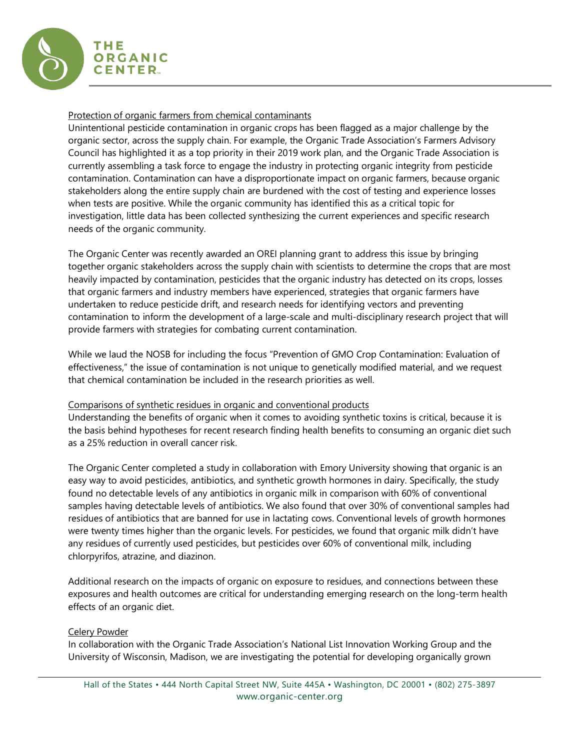

## Protection of organic farmers from chemical contaminants

Unintentional pesticide contamination in organic crops has been flagged as a major challenge by the organic sector, across the supply chain. For example, the Organic Trade Association's Farmers Advisory Council has highlighted it as a top priority in their 2019 work plan, and the Organic Trade Association is currently assembling a task force to engage the industry in protecting organic integrity from pesticide contamination. Contamination can have a disproportionate impact on organic farmers, because organic stakeholders along the entire supply chain are burdened with the cost of testing and experience losses when tests are positive. While the organic community has identified this as a critical topic for investigation, little data has been collected synthesizing the current experiences and specific research needs of the organic community.

The Organic Center was recently awarded an OREI planning grant to address this issue by bringing together organic stakeholders across the supply chain with scientists to determine the crops that are most heavily impacted by contamination, pesticides that the organic industry has detected on its crops, losses that organic farmers and industry members have experienced, strategies that organic farmers have undertaken to reduce pesticide drift, and research needs for identifying vectors and preventing contamination to inform the development of a large-scale and multi-disciplinary research project that will provide farmers with strategies for combating current contamination.

While we laud the NOSB for including the focus "Prevention of GMO Crop Contamination: Evaluation of effectiveness," the issue of contamination is not unique to genetically modified material, and we request that chemical contamination be included in the research priorities as well.

#### Comparisons of synthetic residues in organic and conventional products

Understanding the benefits of organic when it comes to avoiding synthetic toxins is critical, because it is the basis behind hypotheses for recent research finding health benefits to consuming an organic diet such as a 25% reduction in overall cancer risk.

The Organic Center completed a study in collaboration with Emory University showing that organic is an easy way to avoid pesticides, antibiotics, and synthetic growth hormones in dairy. Specifically, the study found no detectable levels of any antibiotics in organic milk in comparison with 60% of conventional samples having detectable levels of antibiotics. We also found that over 30% of conventional samples had residues of antibiotics that are banned for use in lactating cows. Conventional levels of growth hormones were twenty times higher than the organic levels. For pesticides, we found that organic milk didn't have any residues of currently used pesticides, but pesticides over 60% of conventional milk, including chlorpyrifos, atrazine, and diazinon.

Additional research on the impacts of organic on exposure to residues, and connections between these exposures and health outcomes are critical for understanding emerging research on the long-term health effects of an organic diet.

Celery Powder

In collaboration with the Organic Trade Association's National List Innovation Working Group and the University of Wisconsin, Madison, we are investigating the potential for developing organically grown